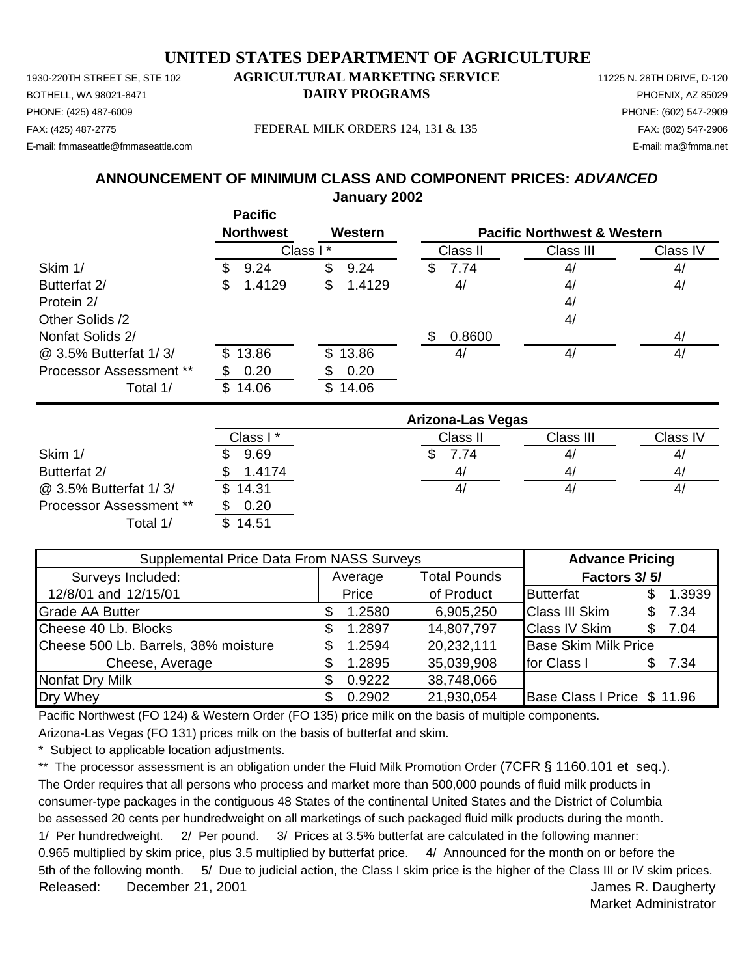1930-220TH STREET SE, STE 102 **AGRICULTURAL MARKETING SERVICE** 11225 N. 28TH DRIVE, D-120 PHONE: (425) 487-6009 PHONE: (602) 547-2909 E-mail: fmmaseattle@fmmaseattle.com E-mail: ma@fmma.net

## BOTHELL, WA 98021-8471 **DAIRY PROGRAMS** PHOENIX, AZ 85029

FAX: (425) 487-2775 FEDERAL MILK ORDERS 124, 131 & 135 FAX: (602) 547-2906

## **January 2002 ANNOUNCEMENT OF MINIMUM CLASS AND COMPONENT PRICES:** *ADVANCED*

|                         | <b>Pacific</b>   |              |                          |                                        |          |  |
|-------------------------|------------------|--------------|--------------------------|----------------------------------------|----------|--|
|                         | <b>Northwest</b> | Western      |                          | <b>Pacific Northwest &amp; Western</b> |          |  |
|                         | Class I          | $\star$      | Class II                 | Class III                              | Class IV |  |
| Skim 1/                 | 9.24<br>S        | \$<br>9.24   | \$<br>7.74               | 4/                                     | 4/       |  |
| Butterfat 2/            | 1.4129<br>\$     | \$<br>1.4129 | 4/                       | 4/                                     | 4/       |  |
| Protein 2/              |                  |              |                          | 4/                                     |          |  |
| Other Solids /2         |                  |              |                          | 4/                                     |          |  |
| Nonfat Solids 2/        |                  |              | 0.8600<br>\$             |                                        | 4/       |  |
| @ 3.5% Butterfat 1/3/   | 13.86<br>\$.     | 13.86<br>\$  | 4/                       | 4/                                     | 4/       |  |
| Processor Assessment ** | 0.20             | 0.20         |                          |                                        |          |  |
| Total 1/                | 14.06<br>\$      | \$<br>14.06  |                          |                                        |          |  |
|                         |                  |              | <b>Arizona-Las Vegas</b> |                                        |          |  |
|                         | Class I*         |              | Class II                 | Class III                              | Class IV |  |
| Skim 1/                 | 9.69             |              | \$<br>7.74               | 4/                                     | 4/       |  |
| Butterfat 2/            | 1.4174           |              | 4/                       | 4/                                     | 4/       |  |
| @ 3.5% Butterfat 1/3/   | \$<br>14.31      |              | 4/                       | 4/                                     | 4/       |  |

Average Total Pounds 12/8/01 and 12/15/01 **Frice** of Product Butterfat \$ 1.3939 Grade AA Butter \$ 1.2580 6,905,250 Class III Skim \$ 7.34 Cheese 40 Lb. Blocks \$ 1.2897 14,807,797 Class IV Skim \$ 7.04 Cheese 500 Lb. Barrels, 38% moisture \$ 1.2594 20,232,111 Base Skim Milk Price Cheese, Average  $$ 1.2895 35,039,908$  for Class I \$ 7.34 Nonfat Dry Milk  $$ 0.9222$  38,748,066 Dry Whey **3 2002** 21,930,054 Base Class I Price \$ 11.96 Supplemental Price Data From NASS Surveys **Advance Pricing** Surveys Included: **Factors 3/ 5/ Factors 3/ 5/ Factors 3/ 5/** 

Pacific Northwest (FO 124) & Western Order (FO 135) price milk on the basis of multiple components.

Arizona-Las Vegas (FO 131) prices milk on the basis of butterfat and skim.

\* Subject to applicable location adjustments.

Processor Assessment \*\* \$ 0.20

Total 1/ \$ 14.51

\*\* The processor assessment is an obligation under the Fluid Milk Promotion Order (7CFR § 1160.101 et seq.). The Order requires that all persons who process and market more than 500,000 pounds of fluid milk products in consumer-type packages in the contiguous 48 States of the continental United States and the District of Columbia be assessed 20 cents per hundredweight on all marketings of such packaged fluid milk products during the month. 1/ Per hundredweight. 2/ Per pound. 3/ Prices at 3.5% butterfat are calculated in the following manner: 0.965 multiplied by skim price, plus 3.5 multiplied by butterfat price. 4/ Announced for the month on or before the 5th of the following month. 5/ Due to judicial action, the Class I skim price is the higher of the Class III or IV skim prices.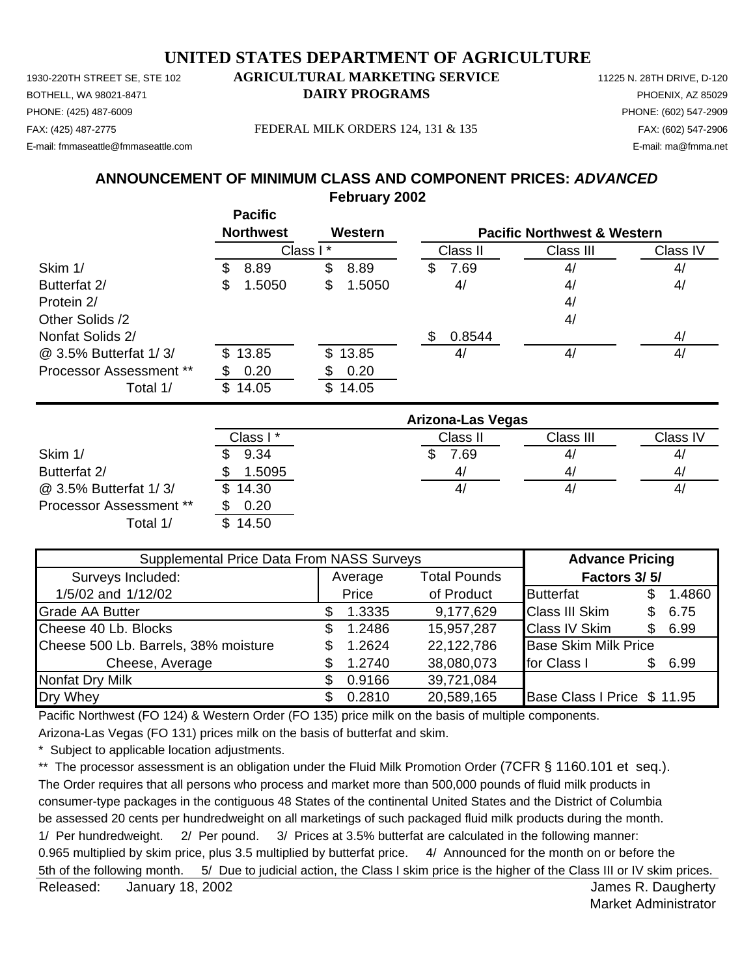1930-220TH STREET SE, STE 102 **AGRICULTURAL MARKETING SERVICE** 11225 N. 28TH DRIVE, D-120 PHONE: (425) 487-6009 PHONE: (602) 547-2909 E-mail: fmmaseattle@fmmaseattle.com E-mail: ma@fmma.net

## BOTHELL, WA 98021-8471 **DAIRY PROGRAMS** PHOENIX, AZ 85029

FAX: (425) 487-2775 FEDERAL MILK ORDERS 124, 131 & 135 FAX: (602) 547-2906

## **February 2002 ANNOUNCEMENT OF MINIMUM CLASS AND COMPONENT PRICES:** *ADVANCED*

|                         | <b>Pacific</b>   |              |                          |                                        |          |
|-------------------------|------------------|--------------|--------------------------|----------------------------------------|----------|
|                         | <b>Northwest</b> | Western      |                          | <b>Pacific Northwest &amp; Western</b> |          |
|                         |                  | Class I*     | Class II                 | Class III                              | Class IV |
| Skim 1/                 | 8.89<br>S        | \$<br>8.89   | 7.69<br>\$               | 4/                                     | 4/       |
| Butterfat 2/            | 1.5050<br>\$     | \$<br>1.5050 | 4/                       | 4/                                     | 4/       |
| Protein 2/              |                  |              |                          | 4/                                     |          |
| Other Solids /2         |                  |              |                          | 4/                                     |          |
| Nonfat Solids 2/        |                  |              | 0.8544<br>\$             |                                        | 4/       |
| @ 3.5% Butterfat 1/3/   | 13.85<br>SS      | 13.85<br>\$  | 4/                       | 4/                                     | 4/       |
| Processor Assessment ** | 0.20             | 0.20<br>S    |                          |                                        |          |
| Total 1/                | 14.05<br>\$      | \$14.05      |                          |                                        |          |
|                         |                  |              | <b>Arizona-Las Vegas</b> |                                        |          |
|                         | Class I*         |              | Class II                 | Class III                              | Class IV |
| Skim 1/                 | 9.34             |              | S<br>7.69                | 4/                                     | 4/       |
| Butterfat 2/            | 1.5095<br>\$     |              | 4/                       | 4/                                     | 4/       |

@ 3.5% Butterfat 1/ 3/ \$ 14.30 4/ 4/ 4/ Processor Assessment \*\* \$ 0.20 Total 1/ \$ 14.50

| Supplemental Price Data From NASS Surveys |     |         |                     | <b>Advance Pricing</b>      |     |        |
|-------------------------------------------|-----|---------|---------------------|-----------------------------|-----|--------|
| Surveys Included:                         |     | Average | <b>Total Pounds</b> | Factors 3/5/                |     |        |
| 1/5/02 and 1/12/02                        |     | Price   | of Product          | <b>Butterfat</b>            |     | 1.4860 |
| <b>Grade AA Butter</b>                    |     | 1.3335  | 9,177,629           | <b>Class III Skim</b>       | S   | 6.75   |
| Cheese 40 Lb. Blocks                      | \$. | 1.2486  | 15,957,287          | <b>Class IV Skim</b>        | \$. | 6.99   |
| Cheese 500 Lb. Barrels, 38% moisture      | S.  | 1.2624  | 22,122,786          | <b>Base Skim Milk Price</b> |     |        |
| Cheese, Average                           |     | 1.2740  | 38,080,073          | for Class I                 | SS. | 6.99   |
| Nonfat Dry Milk                           | \$. | 0.9166  | 39,721,084          |                             |     |        |
| Dry Whey                                  | \$. | 0.2810  | 20,589,165          | Base Class I Price \$ 11.95 |     |        |

Pacific Northwest (FO 124) & Western Order (FO 135) price milk on the basis of multiple components.

Arizona-Las Vegas (FO 131) prices milk on the basis of butterfat and skim.

\* Subject to applicable location adjustments.

\*\* The processor assessment is an obligation under the Fluid Milk Promotion Order (7CFR § 1160.101 et seq.). The Order requires that all persons who process and market more than 500,000 pounds of fluid milk products in consumer-type packages in the contiguous 48 States of the continental United States and the District of Columbia be assessed 20 cents per hundredweight on all marketings of such packaged fluid milk products during the month. 1/ Per hundredweight. 2/ Per pound. 3/ Prices at 3.5% butterfat are calculated in the following manner: 0.965 multiplied by skim price, plus 3.5 multiplied by butterfat price. 4/ Announced for the month on or before the 5th of the following month. 5/ Due to judicial action, the Class I skim price is the higher of the Class III or IV skim prices.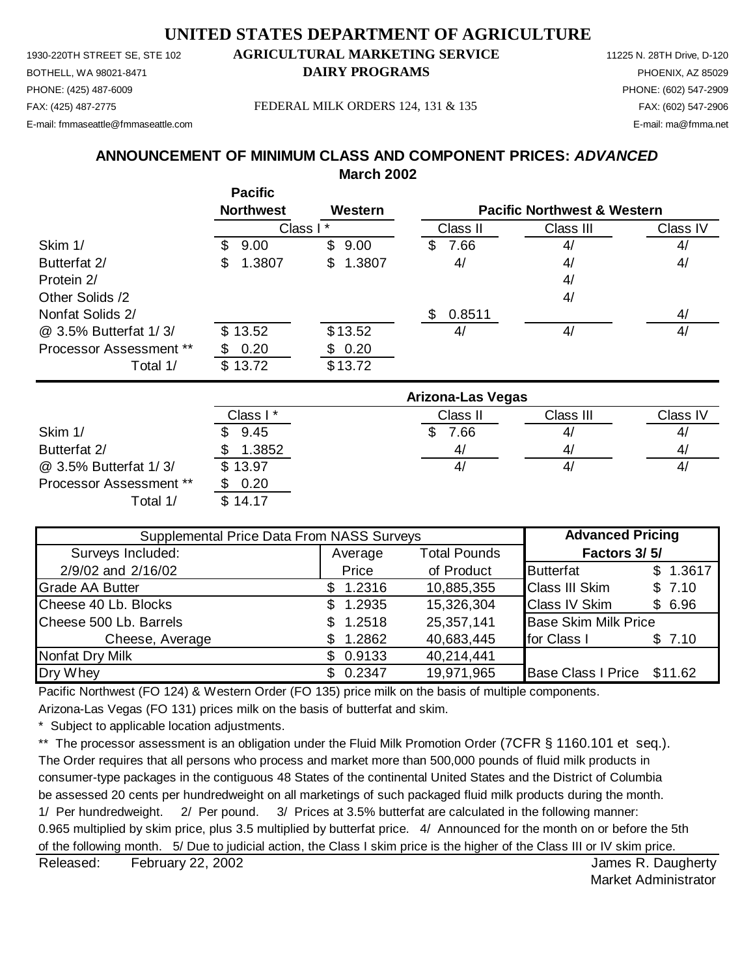PHONE: (425) 487-6009 PHONE: (602) 547-2909 E-mail: fmmaseattle@fmmaseattle.com E-mail: ma@fmma.net

## 1930-220TH STREET SE, STE 102 **AGRICULTURAL MARKETING SERVICE** 11225 N. 28TH Drive, D-120 BOTHELL, WA 98021-8471 **DAIRY PROGRAMS** PHOENIX, AZ 85029

#### FAX: (425) 487-2775 FEDERAL MILK ORDERS 124, 131 & 135 FAX: (602) 547-2906

## **ANNOUNCEMENT OF MINIMUM CLASS AND COMPONENT PRICES:** *ADVANCED*

**March 2002**

|                         | <b>Northwest</b> | Western      | <b>Pacific Northwest &amp; Western</b> |           |          |
|-------------------------|------------------|--------------|----------------------------------------|-----------|----------|
|                         | Class I*         |              | Class II                               | Class III | Class IV |
| Skim 1/                 | 9.00<br>\$       | 9.00<br>S.   | 7.66<br>S.                             | 4/        | 4/       |
| Butterfat 2/            | 1.3807<br>\$     | 1.3807<br>\$ | 4/                                     | 4/        | 4/       |
| Protein 2/              |                  |              |                                        | 4/        |          |
| Other Solids /2         |                  |              |                                        | 4/        |          |
| Nonfat Solids 2/        |                  |              | 0.8511                                 |           | 4/       |
| @ 3.5% Butterfat 1/3/   | \$13.52          | \$13.52      | 4/                                     | 4/        | 4/       |
| Processor Assessment ** | 0.20             | \$0.20       |                                        |           |          |
| Total 1/                | \$13.72          | \$13.72      |                                        |           |          |

|                                | Arizona-Las Vegas |          |           |          |  |  |
|--------------------------------|-------------------|----------|-----------|----------|--|--|
|                                | Class I *         | Class II | Class III | Class IV |  |  |
| Skim 1/                        | 9.45              | 7.66     | 4/        | 4,       |  |  |
| Butterfat 2/                   | 1.3852            | 4/       | 4/        | 4,       |  |  |
| @ 3.5% Butterfat 1/3/          | \$13.97           | 4/       | 41        | 4,       |  |  |
| <b>Processor Assessment **</b> | 0.20              |          |           |          |  |  |
| Total 1/                       | \$14.17           |          |           |          |  |  |

| Supplemental Price Data From NASS Surveys | <b>Advanced Pricing</b> |                     |                                 |
|-------------------------------------------|-------------------------|---------------------|---------------------------------|
| Surveys Included:                         | Average                 | <b>Total Pounds</b> | Factors 3/5/                    |
| 2/9/02 and 2/16/02                        | Price                   | of Product          | \$1.3617<br><b>Butterfat</b>    |
| <b>Grade AA Butter</b>                    | \$1.2316                | 10,885,355          | <b>Class III Skim</b><br>\$7.10 |
| Cheese 40 Lb. Blocks                      | \$1.2935                | 15,326,304          | <b>Class IV Skim</b><br>\$6.96  |
| Cheese 500 Lb. Barrels                    | \$1.2518                | 25,357,141          | <b>Base Skim Milk Price</b>     |
| Cheese, Average                           | 1.2862                  | 40,683,445          | for Class I<br>\$7.10           |
| Nonfat Dry Milk                           | \$0.9133                | 40,214,441          |                                 |
| Dry Whey                                  | \$0.2347                | 19,971,965          | Base Class I Price \$11.62      |

Pacific Northwest (FO 124) & Western Order (FO 135) price milk on the basis of multiple components.

Arizona-Las Vegas (FO 131) prices milk on the basis of butterfat and skim.

**Pacific**

\* Subject to applicable location adjustments.

\*\* The processor assessment is an obligation under the Fluid Milk Promotion Order (7CFR § 1160.101 et seq.).

The Order requires that all persons who process and market more than 500,000 pounds of fluid milk products in consumer-type packages in the contiguous 48 States of the continental United States and the District of Columbia be assessed 20 cents per hundredweight on all marketings of such packaged fluid milk products during the month. 1/ Per hundredweight. 2/ Per pound. 3/ Prices at 3.5% butterfat are calculated in the following manner: 0.965 multiplied by skim price, plus 3.5 multiplied by butterfat price. 4/ Announced for the month on or before the 5th of the following month. 5/ Due to judicial action, the Class I skim price is the higher of the Class III or IV skim price.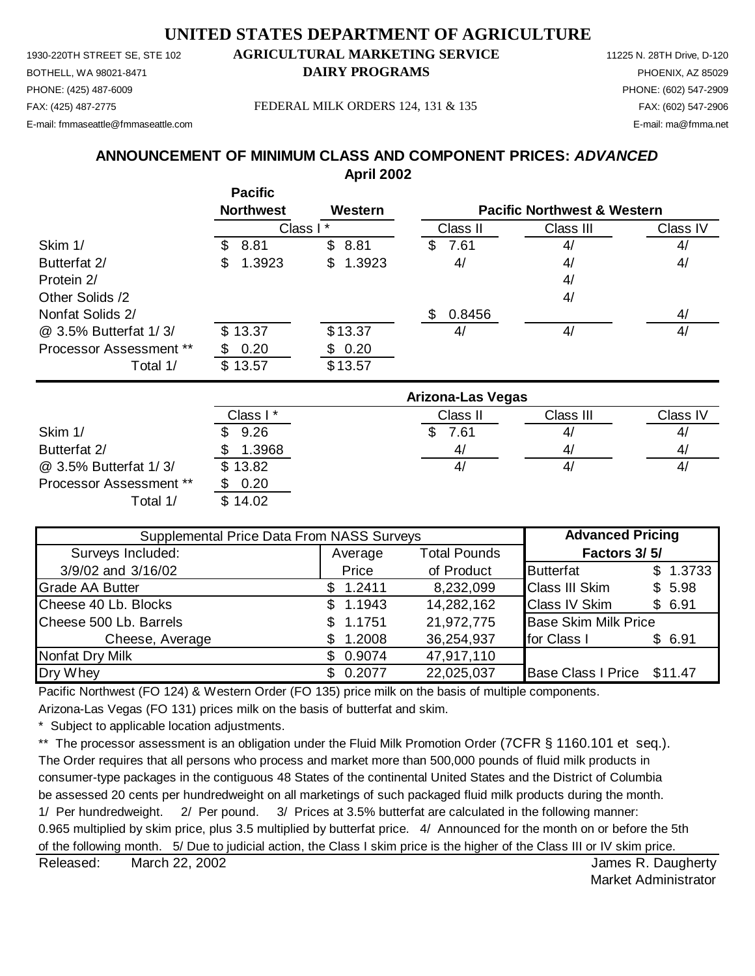PHONE: (425) 487-6009 PHONE: (602) 547-2909 E-mail: fmmaseattle@fmmaseattle.com E-mail: ma@fmma.net

## 1930-220TH STREET SE, STE 102 **AGRICULTURAL MARKETING SERVICE** 11225 N. 28TH Drive, D-120 BOTHELL, WA 98021-8471 **DAIRY PROGRAMS** PHOENIX, AZ 85029

#### FAX: (425) 487-2775 FEDERAL MILK ORDERS 124, 131 & 135 FAX: (602) 547-2906

## **April 2002 ANNOUNCEMENT OF MINIMUM CLASS AND COMPONENT PRICES:** *ADVANCED*

|                         | Pacific<br><b>Northwest</b> | Western    |               | <b>Pacific Northwest &amp; Western</b> |          |
|-------------------------|-----------------------------|------------|---------------|----------------------------------------|----------|
|                         | Class I*                    |            | Class II      | Class III                              | Class IV |
| Skim 1/                 | 8.81<br>SS.                 | \$8.81     | 7.61<br>S     | 4/                                     | 4/       |
| Butterfat 2/            | 1.3923<br>\$.               | \$1.3923   | 4/            | 4/                                     | 4/       |
| Protein 2/              |                             |            |               | 4/                                     |          |
| Other Solids /2         |                             |            |               | 4/                                     |          |
| Nonfat Solids 2/        |                             |            | 0.8456<br>\$. |                                        | 4/       |
| @ 3.5% Butterfat 1/3/   | \$13.37                     | \$13.37    | 4/            | 4/                                     | 4/       |
| Processor Assessment ** | 0.20<br>S.                  | 0.20<br>\$ |               |                                        |          |
| Total 1/                | \$13.57                     | \$13.57    |               |                                        |          |
|                         |                             |            |               |                                        |          |

|                                | <b>Arizona-Las Vegas</b> |          |           |              |  |  |
|--------------------------------|--------------------------|----------|-----------|--------------|--|--|
|                                | Class I *                | Class II | Class III | Class IV     |  |  |
| Skim 1/                        | 9.26                     | 7.61     | 4/        | 4,           |  |  |
| Butterfat 2/                   | 1.3968                   | 4/       | 4/        | 41           |  |  |
| @ 3.5% Butterfat 1/3/          | \$13.82                  | 41       | 4/        | $\mathbf{4}$ |  |  |
| <b>Processor Assessment **</b> | 0.20                     |          |           |              |  |  |
| Total 1/                       | \$14.02                  |          |           |              |  |  |

| Supplemental Price Data From NASS Surveys | <b>Advanced Pricing</b> |                     |                             |          |
|-------------------------------------------|-------------------------|---------------------|-----------------------------|----------|
| Surveys Included:                         | Average                 | <b>Total Pounds</b> | Factors 3/5/                |          |
| 3/9/02 and 3/16/02                        | Price                   | of Product          | <b>Butterfat</b>            | \$1.3733 |
| <b>Grade AA Butter</b>                    | \$1.2411                | 8,232,099           | <b>Class III Skim</b>       | \$5.98   |
| Cheese 40 Lb. Blocks                      | 1.1943<br>SS.           | 14,282,162          | <b>Class IV Skim</b>        | \$6.91   |
| Cheese 500 Lb. Barrels                    | 1.1751                  | 21,972,775          | <b>Base Skim Milk Price</b> |          |
| Cheese, Average                           | 1.2008<br>\$.           | 36,254,937          | for Class I                 | \$6.91   |
| Nonfat Dry Milk                           | \$0.9074                | 47,917,110          |                             |          |
| Dry Whey                                  | \$0.2077                | 22,025,037          | Base Class I Price \$11.47  |          |

Pacific Northwest (FO 124) & Western Order (FO 135) price milk on the basis of multiple components.

Arizona-Las Vegas (FO 131) prices milk on the basis of butterfat and skim.

**Pacific**

\* Subject to applicable location adjustments.

\*\* The processor assessment is an obligation under the Fluid Milk Promotion Order (7CFR § 1160.101 et seq.).

The Order requires that all persons who process and market more than 500,000 pounds of fluid milk products in consumer-type packages in the contiguous 48 States of the continental United States and the District of Columbia be assessed 20 cents per hundredweight on all marketings of such packaged fluid milk products during the month. 1/ Per hundredweight. 2/ Per pound. 3/ Prices at 3.5% butterfat are calculated in the following manner: 0.965 multiplied by skim price, plus 3.5 multiplied by butterfat price. 4/ Announced for the month on or before the 5th of the following month. 5/ Due to judicial action, the Class I skim price is the higher of the Class III or IV skim price.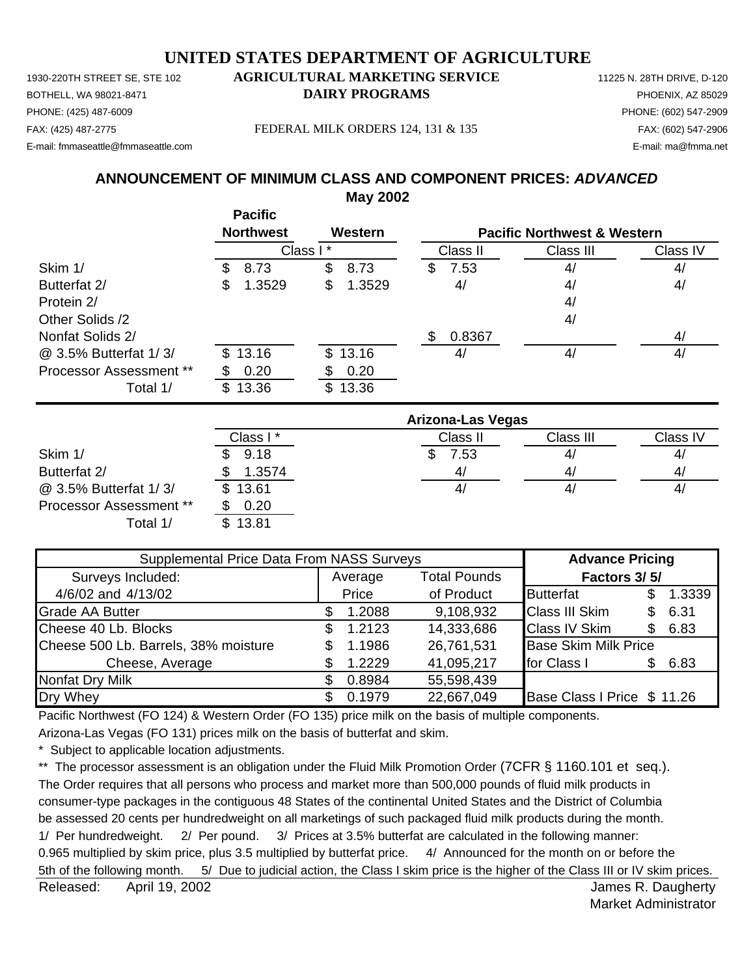1930-220TH STREET SE, STE 102 **AGRICULTURAL MARKETING SERVICE** 11225 N. 28TH DRIVE, D-120 PHONE: (425) 487-6009 PHONE: (602) 547-2909 E-mail: fmmaseattle@fmmaseattle.com E-mail: ma@fmma.net

# BOTHELL, WA 98021-8471 **DAIRY PROGRAMS** PHOENIX, AZ 85029

FAX: (425) 487-2775 FEDERAL MILK ORDERS 124, 131 & 135 FAX: (602) 547-2906

## **May 2002 ANNOUNCEMENT OF MINIMUM CLASS AND COMPONENT PRICES:** *ADVANCED*

|                         | <b>Pacific</b>   |              |                                        |           |          |  |
|-------------------------|------------------|--------------|----------------------------------------|-----------|----------|--|
|                         | <b>Northwest</b> | Western      | <b>Pacific Northwest &amp; Western</b> |           |          |  |
|                         |                  | Class I*     | Class II                               | Class III | Class IV |  |
| Skim 1/                 | 8.73<br>S        | \$<br>8.73   | \$<br>7.53                             | 4/        | 4/       |  |
| Butterfat 2/            | 1.3529<br>S      | \$<br>1.3529 | 4/                                     | 4/        | 4/       |  |
| Protein 2/              |                  |              |                                        | 4/        |          |  |
| Other Solids /2         |                  |              |                                        | 4/        |          |  |
| Nonfat Solids 2/        |                  |              | \$<br>0.8367                           |           | 4/       |  |
| @ 3.5% Butterfat 1/3/   | 13.16<br>\$      | \$<br>13.16  | 4/                                     | 4/        | 4/       |  |
| Processor Assessment ** | 0.20             | 0.20         |                                        |           |          |  |
| Total 1/                | 13.36<br>\$      | \$<br>13.36  |                                        |           |          |  |
|                         |                  |              | <b>Arizona-Las Vegas</b>               |           |          |  |
|                         | Class I*         |              | Class II                               | Class III | Class IV |  |
| Skim 1/                 | 9.18             |              | \$<br>7.53                             | 4/        | 4/       |  |
| Butterfat 2/            | 1.3574           |              | 4/                                     | 4/        | 4/       |  |
| @ 3.5% Butterfat 1/3/   | \$<br>13.61      |              | 4/                                     | 4/        | 4/       |  |

Processor Assessment \*\* \$ 0.20

| <u>.</u><br>\$13.81<br>Total 1/           |               |                     |                             |     |        |
|-------------------------------------------|---------------|---------------------|-----------------------------|-----|--------|
| Supplemental Price Data From NASS Surveys |               |                     | <b>Advance Pricing</b>      |     |        |
| Surveys Included:                         | Average       | <b>Total Pounds</b> | Factors 3/5/                |     |        |
| 4/6/02 and 4/13/02                        | Price         | of Product          | <b>Butterfat</b>            | \$. | 1.3339 |
| Grade AA Butter                           | 1.2088        | 9,108,932           | <b>Class III Skim</b>       | \$. | 6.31   |
| Cheese 40 Lb. Blocks                      | 1.2123<br>\$. | 14,333,686          | <b>Class IV Skim</b>        | \$. | 6.83   |
| Cheese 500 Lb. Barrels, 38% moisture      | 1.1986<br>S   | 26,761,531          | <b>Base Skim Milk Price</b> |     |        |
| Cheese, Average                           | 1.2229        | 41,095,217          | for Class I                 |     | 6.83   |

Pacific Northwest (FO 124) & Western Order (FO 135) price milk on the basis of multiple components.

Arizona-Las Vegas (FO 131) prices milk on the basis of butterfat and skim.

Nonfat Dry Milk **6.8984** 55,598,439

\* Subject to applicable location adjustments.

\*\* The processor assessment is an obligation under the Fluid Milk Promotion Order (7CFR § 1160.101 et seq.). The Order requires that all persons who process and market more than 500,000 pounds of fluid milk products in consumer-type packages in the contiguous 48 States of the continental United States and the District of Columbia be assessed 20 cents per hundredweight on all marketings of such packaged fluid milk products during the month. 1/ Per hundredweight. 2/ Per pound. 3/ Prices at 3.5% butterfat are calculated in the following manner: 0.965 multiplied by skim price, plus 3.5 multiplied by butterfat price. 4/ Announced for the month on or before the 5th of the following month. 5/ Due to judicial action, the Class I skim price is the higher of the Class III or IV skim prices.

Dry Whey \$ 0.1979 22,667,049 Base Class I Price \$ 11.26

Released: April 19, 2002 **Block and Strutter Controllering Controllering Controllering Controllering Controllering Controllering Controllering Controllering Controllering Controllering Controllering Controllering Controlle** April 19, 2002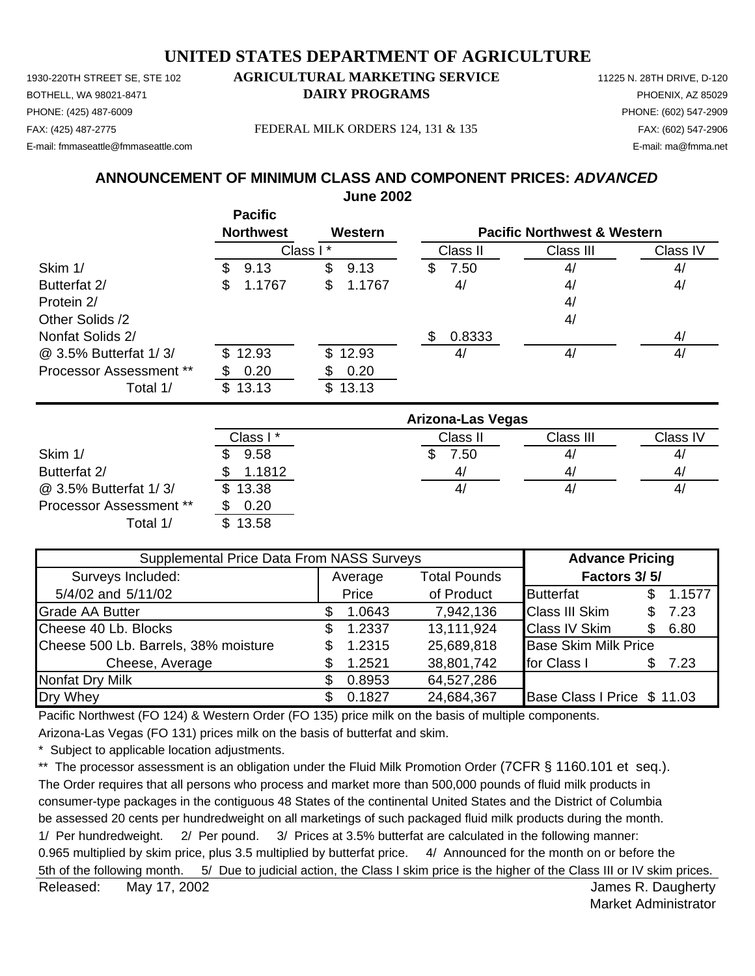1930-220TH STREET SE, STE 102 **AGRICULTURAL MARKETING SERVICE** 11225 N. 28TH DRIVE, D-120 PHONE: (425) 487-6009 PHONE: (602) 547-2909 E-mail: fmmaseattle@fmmaseattle.com E-mail: ma@fmma.net

# BOTHELL, WA 98021-8471 **DAIRY PROGRAMS** PHOENIX, AZ 85029

FAX: (425) 487-2775 FEDERAL MILK ORDERS 124, 131 & 135 FAX: (602) 547-2906

### **June 2002 ANNOUNCEMENT OF MINIMUM CLASS AND COMPONENT PRICES:** *ADVANCED*

|                         | <b>Pacific</b>   |              |                          |                                        |          |  |
|-------------------------|------------------|--------------|--------------------------|----------------------------------------|----------|--|
|                         | <b>Northwest</b> | Western      |                          | <b>Pacific Northwest &amp; Western</b> |          |  |
|                         |                  | Class I*     | Class II                 | Class III                              | Class IV |  |
| Skim 1/                 | \$<br>9.13       | \$<br>9.13   | 7.50<br>\$               | 4/                                     | 4/       |  |
| Butterfat 2/            | 1.1767<br>\$     | \$<br>1.1767 | 4/                       | 4/                                     | 4/       |  |
| Protein 2/              |                  |              |                          | 4/                                     |          |  |
| Other Solids /2         |                  |              |                          | 4/                                     |          |  |
| Nonfat Solids 2/        |                  |              | 0.8333<br>\$             |                                        | 4/       |  |
| @ 3.5% Butterfat 1/3/   | \$12.93          | \$12.93      | 4/                       | 4/                                     | 4/       |  |
| Processor Assessment ** | 0.20             | 0.20         |                          |                                        |          |  |
| Total 1/                | \$<br>13.13      | \$13.13      |                          |                                        |          |  |
|                         |                  |              | <b>Arizona-Las Vegas</b> |                                        |          |  |
|                         | Class I*         |              | Class II                 | Class III                              | Class IV |  |
| Skim 1/                 | 9.58             |              | S<br>7.50                | 4/                                     | 4/       |  |
| Butterfat 2/            | 1.1812<br>\$     |              | 4/                       | 4/                                     | 4/       |  |

Processor Assessment \*\* \$ 0.20 Total 1/ \$ 13.58

@ 3.5% Butterfat 1/ 3/ \$ 13.38 4/ 4/ 4/

| Supplemental Price Data From NASS Surveys |    |         |                     | <b>Advance Pricing</b>      |     |        |
|-------------------------------------------|----|---------|---------------------|-----------------------------|-----|--------|
| Surveys Included:                         |    | Average | <b>Total Pounds</b> | Factors 3/5/                |     |        |
| 5/4/02 and 5/11/02                        |    | Price   | of Product          | <b>Butterfat</b>            | £.  | 1.1577 |
| <b>Grade AA Butter</b>                    |    | 1.0643  | 7,942,136           | <b>Class III Skim</b>       | S   | 7.23   |
| Cheese 40 Lb. Blocks                      | S. | 1.2337  | 13,111,924          | <b>Class IV Skim</b>        | S   | 6.80   |
| Cheese 500 Lb. Barrels, 38% moisture      |    | 1.2315  | 25,689,818          | <b>Base Skim Milk Price</b> |     |        |
| Cheese, Average                           |    | 1.2521  | 38,801,742          | for Class I                 | \$. | 7.23   |
| Nonfat Dry Milk                           |    | 0.8953  | 64,527,286          |                             |     |        |
| Dry Whey                                  |    | 0.1827  | 24,684,367          | Base Class I Price \$ 11.03 |     |        |

Pacific Northwest (FO 124) & Western Order (FO 135) price milk on the basis of multiple components.

Arizona-Las Vegas (FO 131) prices milk on the basis of butterfat and skim.

\* Subject to applicable location adjustments.

\*\* The processor assessment is an obligation under the Fluid Milk Promotion Order (7CFR § 1160.101 et seq.). The Order requires that all persons who process and market more than 500,000 pounds of fluid milk products in consumer-type packages in the contiguous 48 States of the continental United States and the District of Columbia be assessed 20 cents per hundredweight on all marketings of such packaged fluid milk products during the month. 1/ Per hundredweight. 2/ Per pound. 3/ Prices at 3.5% butterfat are calculated in the following manner: 0.965 multiplied by skim price, plus 3.5 multiplied by butterfat price. 4/ Announced for the month on or before the 5th of the following month. 5/ Due to judicial action, the Class I skim price is the higher of the Class III or IV skim prices.

Released: May 17, 2002 **All and Struth Controllers** Controllers and the United Struth Controllers Associated Controllers and the United Struth Controllers and the United Struth Controllers and the United Struth Controllers May 17, 2002

Market Administrator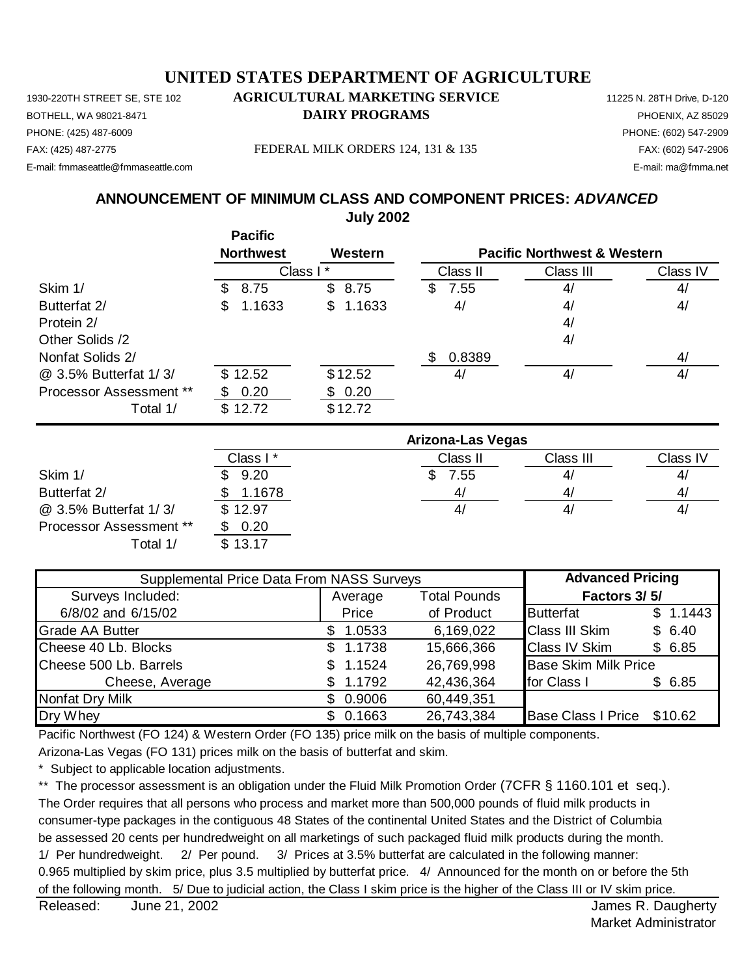1930-220TH STREET SE, STE 102 **AGRICULTURAL MARKETING SERVICE** 11225 N. 28TH Drive, D-120 FAX: (425) 487-2775 FEDERAL MILK ORDERS 124, 131 & 135 FAX: (602) 547-2906 E-mail: fmmaseattle@fmmaseattle.com E-mail: ma@fmma.net

#### BOTHELL, WA 98021-8471 **DAIRY PROGRAMS** PHOENIX, AZ 85029 PHONE: (425) 487-6009 PHONE: (602) 547-2909

## **July 2002 ANNOUNCEMENT OF MINIMUM CLASS AND COMPONENT PRICES:** *ADVANCED*

**Pacific Northwest Western** Class II Class III Class IV Skim 1/ \$ 8.75 \$ 8.75 \$ 7.55 4/ 4/ Butterfat 2/ **\$1.1633** \$1.1633 4/ 4/ 4/ Protein 2/ and 2008 and 2008 and 2008 and 2008 and 2008 and 2008 and 2008 and 2008 and 2008 and 2008 and 2008 and 2008 and 2008 and 2008 and 2008 and 2008 and 2008 and 2008 and 2008 and 2008 and 2008 and 2008 and 2008 and Other Solids /2 4/ Nonfat Solids 2/ **4/**  $$0.8389$  4/ @ 3.5% Butterfat 1/ 3/ \$ 12.52 \$ 12.52 4/ 4/ 4/ Processor Assessment \*\*  $$ 0.20$   $$ 0.20$ Total 1/ \$12.72 \$12.72 Class I \* **Pacific Northwest & Western**

|                                | Arizona-Las Vegas |          |           |                |  |  |  |
|--------------------------------|-------------------|----------|-----------|----------------|--|--|--|
|                                | Class I*          | Class II | Class III | Class IV       |  |  |  |
| Skim 1/                        | 9.20              | 7.55     | 4/        | $\mathbf{A}_i$ |  |  |  |
| Butterfat 2/                   | 1.1678            | 4/       | 41        | 4              |  |  |  |
| @ 3.5% Butterfat 1/3/          | \$12.97           | 41       | 4,        | $\mathbf{4}$   |  |  |  |
| <b>Processor Assessment **</b> | 0.20              |          |           |                |  |  |  |
| Total 1/                       | \$13.17           |          |           |                |  |  |  |

| Supplemental Price Data From NASS Surveys | <b>Advanced Pricing</b> |                     |                             |          |
|-------------------------------------------|-------------------------|---------------------|-----------------------------|----------|
| Surveys Included:                         | Average                 | <b>Total Pounds</b> | Factors 3/5/                |          |
| 6/8/02 and 6/15/02                        | Price                   | of Product          | <b>Butterfat</b>            | \$1.1443 |
| <b>Grade AA Butter</b>                    | 1.0533                  | 6,169,022           | <b>Class III Skim</b>       | \$6.40   |
| Cheese 40 Lb. Blocks                      | \$1.1738                | 15,666,366          | <b>Class IV Skim</b>        | \$6.85   |
| Cheese 500 Lb. Barrels                    | \$1.1524                | 26,769,998          | <b>Base Skim Milk Price</b> |          |
| Cheese, Average                           | 1.1792                  | 42,436,364          | for Class I                 | \$6.85   |
| Nonfat Dry Milk                           | \$0.9006                | 60,449,351          |                             |          |
| Dry Whey                                  | 0.1663                  | 26,743,384          | Base Class I Price \$10.62  |          |

Pacific Northwest (FO 124) & Western Order (FO 135) price milk on the basis of multiple components.

Arizona-Las Vegas (FO 131) prices milk on the basis of butterfat and skim.

Subject to applicable location adjustments.

\*\* The processor assessment is an obligation under the Fluid Milk Promotion Order (7CFR § 1160.101 et seq.). The Order requires that all persons who process and market more than 500,000 pounds of fluid milk products in consumer-type packages in the contiguous 48 States of the continental United States and the District of Columbia be assessed 20 cents per hundredweight on all marketings of such packaged fluid milk products during the month. 1/ Per hundredweight. 2/ Per pound. 3/ Prices at 3.5% butterfat are calculated in the following manner: 0.965 multiplied by skim price, plus 3.5 multiplied by butterfat price. 4/ Announced for the month on or before the 5th of the following month. 5/ Due to judicial action, the Class I skim price is the higher of the Class III or IV skim price.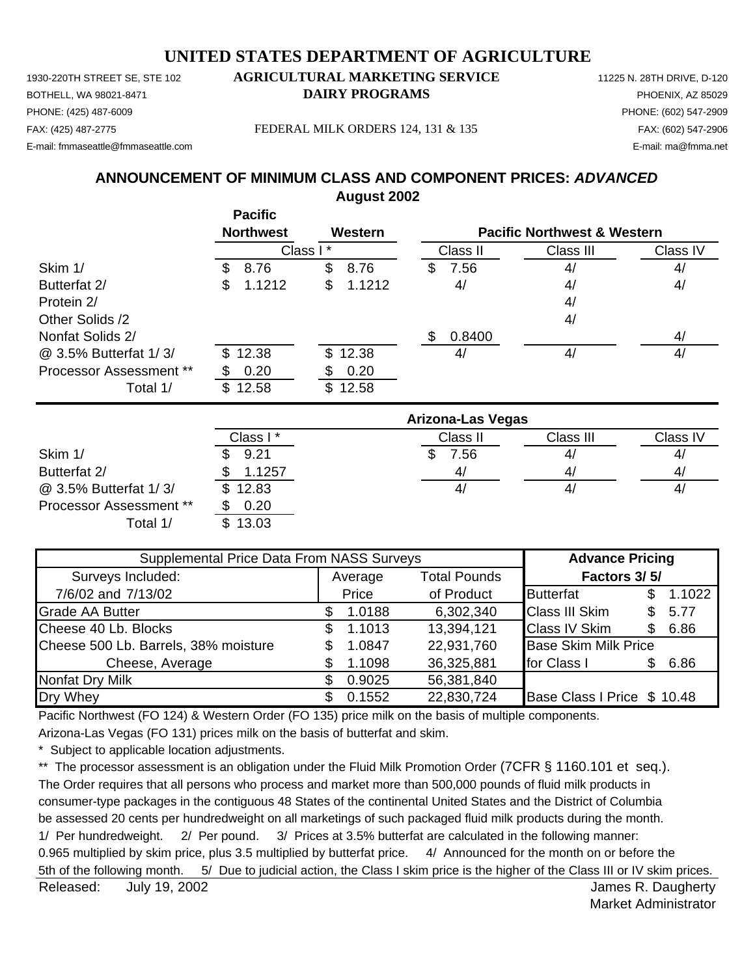1930-220TH STREET SE, STE 102 **AGRICULTURAL MARKETING SERVICE** 11225 N. 28TH DRIVE, D-120 PHONE: (425) 487-6009 PHONE: (602) 547-2909 E-mail: fmmaseattle@fmmaseattle.com E-mail: ma@fmma.net

# BOTHELL, WA 98021-8471 **DAIRY PROGRAMS** PHOENIX, AZ 85029

FAX: (425) 487-2775 FEDERAL MILK ORDERS 124, 131 & 135 FAX: (602) 547-2906

## **August 2002 ANNOUNCEMENT OF MINIMUM CLASS AND COMPONENT PRICES:** *ADVANCED*

|                         | <b>Pacific</b>   |              |                          |                                        |          |
|-------------------------|------------------|--------------|--------------------------|----------------------------------------|----------|
|                         | <b>Northwest</b> | Western      |                          | <b>Pacific Northwest &amp; Western</b> |          |
|                         | Class I*         |              | Class II                 | Class III                              | Class IV |
| Skim 1/                 | 8.76<br>S        | \$<br>8.76   | 7.56<br>S                | 4/                                     | 4/       |
| Butterfat 2/            | 1.1212<br>S      | \$<br>1.1212 | 4/                       | 4/                                     | 4/       |
| Protein 2/              |                  |              |                          | 4/                                     |          |
| Other Solids /2         |                  |              |                          | 4/                                     |          |
| Nonfat Solids 2/        |                  |              | 0.8400<br>\$             |                                        | 4/       |
| @ 3.5% Butterfat 1/3/   | \$12.38          | \$12.38      | 4/                       | 4/                                     | 4/       |
| Processor Assessment ** | 0.20             | 0.20         |                          |                                        |          |
| Total 1/                | 12.58<br>\$      | \$12.58      |                          |                                        |          |
|                         |                  |              | <b>Arizona-Las Vegas</b> |                                        |          |
|                         | Class I*         |              | Class II                 | Class III                              | Class IV |
| Skim 1/                 | 9.21             |              | \$<br>7.56               | 4/                                     | 4/       |
| Butterfat 2/            | 1.1257           |              | 4/                       | 4/                                     | 4/       |

Processor Assessment \*\* \$ 0.20 Total 1/ \$ 13.03

@ 3.5% Butterfat 1/ 3/ \$ 12.83 4/ 4/ 4/

| Supplemental Price Data From NASS Surveys |  |         |                     | <b>Advance Pricing</b>      |     |        |
|-------------------------------------------|--|---------|---------------------|-----------------------------|-----|--------|
| Surveys Included:                         |  | Average | <b>Total Pounds</b> | Factors 3/5/                |     |        |
| 7/6/02 and 7/13/02                        |  | Price   | of Product          | <b>Butterfat</b>            | S   | 1.1022 |
| <b>Grade AA Butter</b>                    |  | 1.0188  | 6,302,340           | <b>Class III Skim</b>       | \$  | 5.77   |
| Cheese 40 Lb. Blocks                      |  | 1.1013  | 13,394,121          | <b>Class IV Skim</b>        | \$  | 6.86   |
| Cheese 500 Lb. Barrels, 38% moisture      |  | 1.0847  | 22,931,760          | <b>Base Skim Milk Price</b> |     |        |
| Cheese, Average                           |  | 1.1098  | 36,325,881          | for Class I                 | \$. | 6.86   |
| Nonfat Dry Milk                           |  | 0.9025  | 56,381,840          |                             |     |        |
| Dry Whey                                  |  | 0.1552  | 22,830,724          | Base Class I Price \$ 10.48 |     |        |

Pacific Northwest (FO 124) & Western Order (FO 135) price milk on the basis of multiple components.

Arizona-Las Vegas (FO 131) prices milk on the basis of butterfat and skim.

\* Subject to applicable location adjustments.

\*\* The processor assessment is an obligation under the Fluid Milk Promotion Order (7CFR § 1160.101 et seq.). The Order requires that all persons who process and market more than 500,000 pounds of fluid milk products in consumer-type packages in the contiguous 48 States of the continental United States and the District of Columbia be assessed 20 cents per hundredweight on all marketings of such packaged fluid milk products during the month. 1/ Per hundredweight. 2/ Per pound. 3/ Prices at 3.5% butterfat are calculated in the following manner: 0.965 multiplied by skim price, plus 3.5 multiplied by butterfat price. 4/ Announced for the month on or before the 5th of the following month. 5/ Due to judicial action, the Class I skim price is the higher of the Class III or IV skim prices.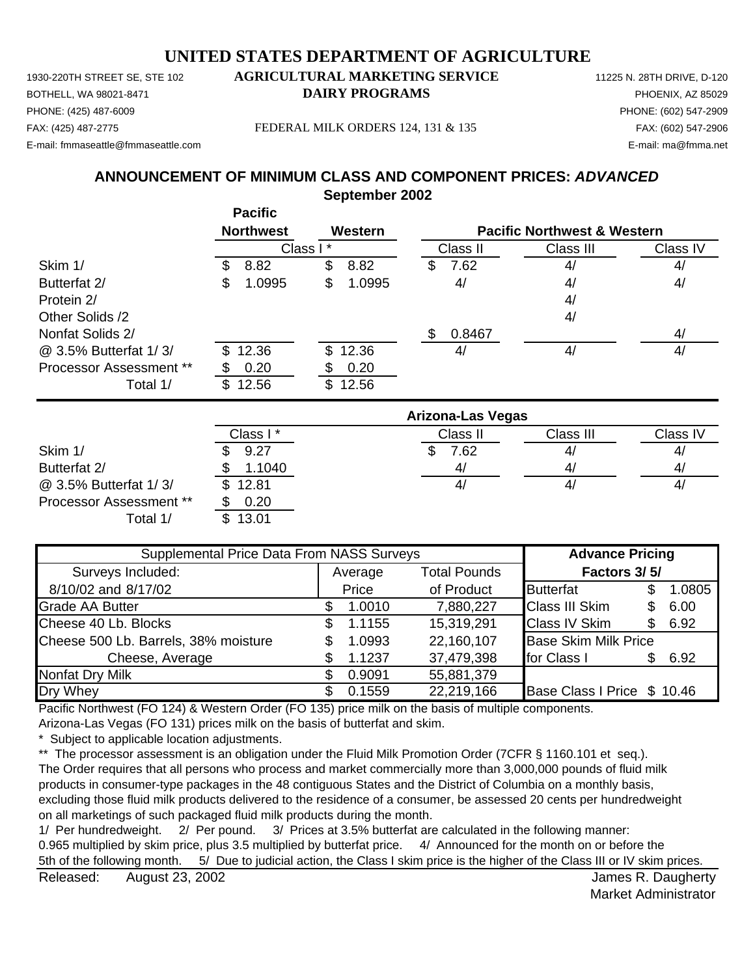PHONE: (425) 487-6009 PHONE: (602) 547-2909 E-mail: fmmaseattle@fmmaseattle.com E-mail: ma@fmma.net

#### 1930-220TH STREET SE, STE 102 **AGRICULTURAL MARKETING SERVICE** 11225 N. 28TH DRIVE, D-120 BOTHELL, WA 98021-8471 **DAIRY PROGRAMS** PHOENIX, AZ 85029

FAX: (425) 487-2775 FEDERAL MILK ORDERS 124, 131 & 135 FAX: (602) 547-2906

## **September 2002 ANNOUNCEMENT OF MINIMUM CLASS AND COMPONENT PRICES:** *ADVANCED*

|                                | <b>Pacific</b><br><b>Northwest</b> | Western      |                          | <b>Pacific Northwest &amp; Western</b> |          |
|--------------------------------|------------------------------------|--------------|--------------------------|----------------------------------------|----------|
|                                |                                    | Class I*     | Class II                 | Class III                              | Class IV |
| Skim 1/                        | 8.82<br>£.                         | \$<br>8.82   | 7.62<br>S                | 4/                                     | 4/       |
| Butterfat 2/                   | 1.0995<br>\$                       | 1.0995<br>\$ | 4/                       | 4/                                     | 4/       |
| Protein 2/                     |                                    |              |                          | 4/                                     |          |
| Other Solids /2                |                                    |              |                          | 4/                                     |          |
| Nonfat Solids 2/               |                                    |              | 0.8467                   |                                        | 4/       |
| @ 3.5% Butterfat 1/3/          | 12.36<br>\$.                       | 12.36<br>\$  | 4/                       | 4/                                     | 4/       |
| <b>Processor Assessment **</b> | 0.20                               | 0.20         |                          |                                        |          |
| Total 1/                       | 12.56<br>\$.                       | 12.56<br>\$  |                          |                                        |          |
|                                |                                    |              | <b>Arizona-Las Vegas</b> |                                        |          |

|                                |          | Arizona-Las Vegas |           |                |  |  |  |  |
|--------------------------------|----------|-------------------|-----------|----------------|--|--|--|--|
|                                | Class I* | Class II          | Class III | Class IV       |  |  |  |  |
| Skim 1/                        | 9.27     | 7.62              | 4/        | 4/             |  |  |  |  |
| Butterfat 2/                   | 1.1040   | 4/                | 4,        | 4,             |  |  |  |  |
| @ 3.5% Butterfat 1/3/          | \$12.81  | 4,                | 4/        | 4 <sub>l</sub> |  |  |  |  |
| <b>Processor Assessment **</b> | 0.20     |                   |           |                |  |  |  |  |
| Total 1/                       | 13.01    |                   |           |                |  |  |  |  |

| Supplemental Price Data From NASS Surveys |     |         |                     | <b>Advance Pricing</b>      |    |        |
|-------------------------------------------|-----|---------|---------------------|-----------------------------|----|--------|
| Surveys Included:                         |     | Average | <b>Total Pounds</b> | Factors 3/5/                |    |        |
| 8/10/02 and 8/17/02                       |     | Price   | of Product          | <b>Butterfat</b>            | S  | 1.0805 |
| <b>Grade AA Butter</b>                    |     | 1.0010  | 7,880,227           | <b>Class III Skim</b>       | \$ | 6.00   |
| Cheese 40 Lb. Blocks                      | S.  | 1.1155  | 15,319,291          | <b>Class IV Skim</b>        | £. | 6.92   |
| Cheese 500 Lb. Barrels, 38% moisture      | S   | 1.0993  | 22,160,107          | <b>Base Skim Milk Price</b> |    |        |
| Cheese, Average                           | \$. | 1.1237  | 37,479,398          | for Class I                 | £. | 6.92   |
| Nonfat Dry Milk                           | S.  | 0.9091  | 55,881,379          |                             |    |        |
| Dry Whey                                  |     | 0.1559  | 22,219,166          | Base Class I Price \$ 10.46 |    |        |

Pacific Northwest (FO 124) & Western Order (FO 135) price milk on the basis of multiple components.

Arizona-Las Vegas (FO 131) prices milk on the basis of butterfat and skim.

\* Subject to applicable location adjustments.

\*\* The processor assessment is an obligation under the Fluid Milk Promotion Order (7CFR § 1160.101 et seq.). The Order requires that all persons who process and market commercially more than 3,000,000 pounds of fluid milk products in consumer-type packages in the 48 contiguous States and the District of Columbia on a monthly basis, excluding those fluid milk products delivered to the residence of a consumer, be assessed 20 cents per hundredweight on all marketings of such packaged fluid milk products during the month.

1/ Per hundredweight. 2/ Per pound. 3/ Prices at 3.5% butterfat are calculated in the following manner: 0.965 multiplied by skim price, plus 3.5 multiplied by butterfat price. 4/ Announced for the month on or before the 5th of the following month. 5/ Due to judicial action, the Class I skim price is the higher of the Class III or IV skim prices.

Released: August 23, 2002 **August 23, 2002** Below Manual August 20, 2009 Below Manual August 20, 2009 August 23, 2002

Market Administrator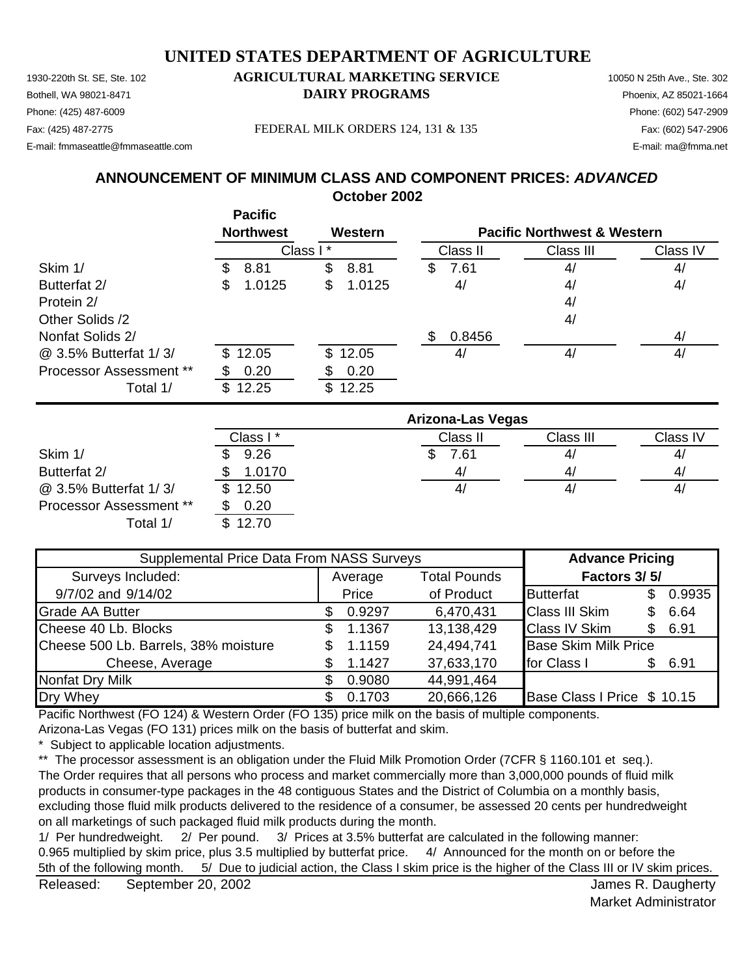## 1930-220th St. SE, Ste. 102 **AGRICULTURAL MARKETING SERVICE** 10050 N 25th Ave., Ste. 302 Bothell, WA 98021-8471 **DAIRY PROGRAMS** Phoenix, AZ 85021-1664 **UNITED STATES DEPARTMENT OF AGRICULTURE**

Phone: (425) 487-6009 Phone: (602) 547-2909 E-mail: fmmaseattle@fmmaseattle.com E-mail: ma@fmma.net

Fax: (425) 487-2775 FEDERAL MILK ORDERS 124, 131 & 135 Fax: (602) 547-2906

**October 2002 ANNOUNCEMENT OF MINIMUM CLASS AND COMPONENT PRICES:** *ADVANCED*

|                         | <b>Pacific</b><br><b>Northwest</b> | Western            |                          | <b>Pacific Northwest &amp; Western</b> |                 |
|-------------------------|------------------------------------|--------------------|--------------------------|----------------------------------------|-----------------|
|                         |                                    | Class I<br>$\star$ | Class II                 | Class III                              | Class IV        |
| Skim 1/                 | 8.81<br>S                          | \$<br>8.81         | 7.61<br>\$               | 4/                                     | 4/              |
| Butterfat 2/            | 1.0125<br>\$                       | \$<br>1.0125       | 4/                       | 4/                                     | 4/              |
| Protein 2/              |                                    |                    |                          | 4/                                     |                 |
| Other Solids /2         |                                    |                    |                          | 4/                                     |                 |
| Nonfat Solids 2/        |                                    |                    | \$<br>0.8456             |                                        | 4/              |
| @ 3.5% Butterfat 1/3/   | 12.05<br>\$.                       | \$12.05            | 4/                       | 4/                                     | 4/              |
| Processor Assessment ** | 0.20                               | 0.20<br>ሥ          |                          |                                        |                 |
| Total 1/                | \$12.25                            | \$12.25            |                          |                                        |                 |
|                         |                                    |                    | <b>Arizona-Las Vegas</b> |                                        |                 |
|                         | Class I*                           |                    | Class II                 | Class III                              | <b>Class IV</b> |
|                         |                                    |                    |                          |                                        |                 |

|                                | Class I * | Class II | Class III | Class IV |
|--------------------------------|-----------|----------|-----------|----------|
| Skim 1/                        | 9.26      | 7.61     | 4/        | 4/       |
| Butterfat 2/                   | 1.0170    | 4/       | 41        | 4/       |
| @ 3.5% Butterfat 1/3/          | \$12.50   | 4/       | 41        | 4,       |
| <b>Processor Assessment **</b> | 0.20      |          |           |          |
| Total 1/                       | \$12.70   |          |           |          |

| Supplemental Price Data From NASS Surveys |     |         |                     | <b>Advance Pricing</b>      |     |        |
|-------------------------------------------|-----|---------|---------------------|-----------------------------|-----|--------|
| Surveys Included:                         |     | Average | <b>Total Pounds</b> | Factors 3/5/                |     |        |
| 9/7/02 and 9/14/02                        |     | Price   | of Product          | <b>Butterfat</b>            | \$. | 0.9935 |
| <b>Grade AA Butter</b>                    |     | 0.9297  | 6,470,431           | <b>Class III Skim</b>       |     | 6.64   |
| Cheese 40 Lb. Blocks                      | \$. | 1.1367  | 13,138,429          | <b>Class IV Skim</b>        | £.  | 6.91   |
| Cheese 500 Lb. Barrels, 38% moisture      | S.  | 1.1159  | 24,494,741          | <b>Base Skim Milk Price</b> |     |        |
| Cheese, Average                           |     | 1.1427  | 37,633,170          | for Class I                 | \$. | 6.91   |
| Nonfat Dry Milk                           |     | 0.9080  | 44,991,464          |                             |     |        |
| Dry Whey                                  |     | 0.1703  | 20,666,126          | Base Class I Price \$ 10.15 |     |        |

Pacific Northwest (FO 124) & Western Order (FO 135) price milk on the basis of multiple components.

Arizona-Las Vegas (FO 131) prices milk on the basis of butterfat and skim.

Subject to applicable location adjustments.

\*\* The processor assessment is an obligation under the Fluid Milk Promotion Order (7CFR § 1160.101 et seq.).

The Order requires that all persons who process and market commercially more than 3,000,000 pounds of fluid milk products in consumer-type packages in the 48 contiguous States and the District of Columbia on a monthly basis, excluding those fluid milk products delivered to the residence of a consumer, be assessed 20 cents per hundredweight on all marketings of such packaged fluid milk products during the month.

1/ Per hundredweight. 2/ Per pound. 3/ Prices at 3.5% butterfat are calculated in the following manner: 0.965 multiplied by skim price, plus 3.5 multiplied by butterfat price. 4/ Announced for the month on or before the 5th of the following month. 5/ Due to judicial action, the Class I skim price is the higher of the Class III or IV skim prices.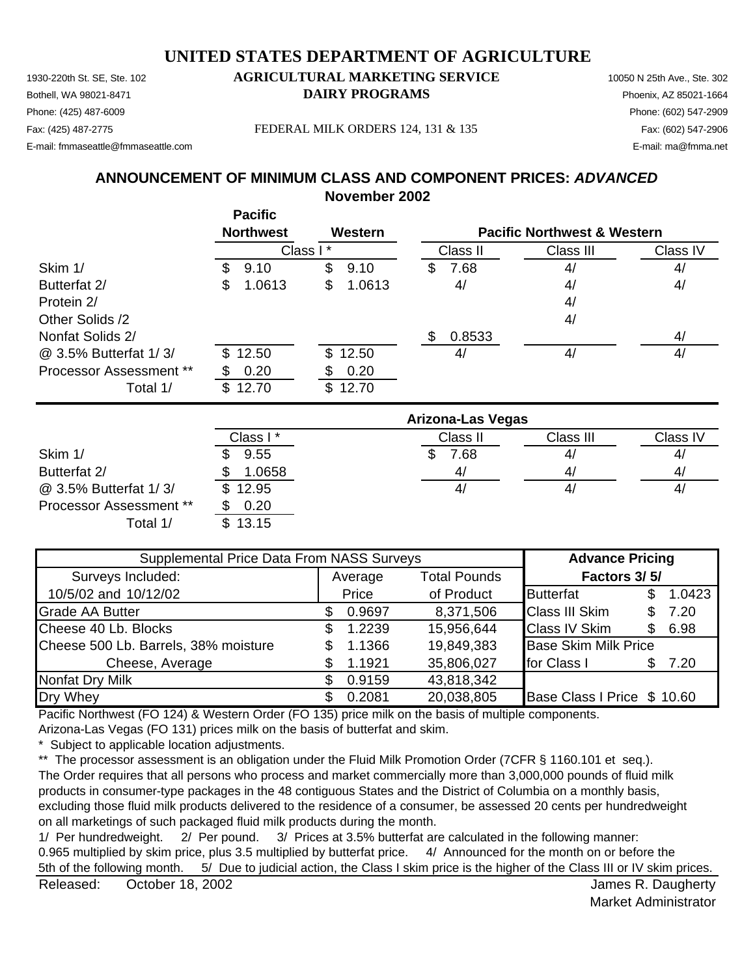## 1930-220th St. SE, Ste. 102 **AGRICULTURAL MARKETING SERVICE** 10050 N 25th Ave., Ste. 302 Bothell, WA 98021-8471 **DAIRY PROGRAMS** Phoenix, AZ 85021-1664 **UNITED STATES DEPARTMENT OF AGRICULTURE**

Phone: (425) 487-6009 Phone: (602) 547-2909 E-mail: fmmaseattle@fmmaseattle.com E-mail: ma@fmma.net

Fax: (425) 487-2775 FEDERAL MILK ORDERS 124, 131 & 135 Fax: (602) 547-2906

**ANNOUNCEMENT OF MINIMUM CLASS AND COMPONENT PRICES:** *ADVANCED*

## **November 2002**

|                         | <b>Pacific</b><br><b>Northwest</b> | Western      |                          | <b>Pacific Northwest &amp; Western</b> |          |
|-------------------------|------------------------------------|--------------|--------------------------|----------------------------------------|----------|
|                         | Class I                            | $\star$      | Class II                 | Class III                              | Class IV |
| Skim 1/                 | 9.10<br>æ.                         | \$<br>9.10   | 7.68<br>S.               | 4/                                     | 4/       |
| Butterfat 2/            | 1.0613<br>æ.                       | 1.0613<br>\$ | 4/                       | 4/                                     | 4/       |
| Protein 2/              |                                    |              |                          | 4/                                     |          |
| Other Solids /2         |                                    |              |                          | 4/                                     |          |
| Nonfat Solids 2/        |                                    |              | 0.8533<br>\$             |                                        | 4/       |
| @ 3.5% Butterfat 1/3/   | \$12.50                            | \$12.50      | 4/                       | 4/                                     | 4/       |
| Processor Assessment ** | 0.20                               | 0.20         |                          |                                        |          |
| Total 1/                | 12.70<br>\$                        | \$12.70      |                          |                                        |          |
|                         |                                    |              | <b>Arizona-Las Vegas</b> |                                        |          |
|                         |                                    |              |                          |                                        |          |

|                         | Arizona-Las vegas |          |           |          |  |
|-------------------------|-------------------|----------|-----------|----------|--|
|                         | Class I *         | Class II | Class III | Class IV |  |
| Skim 1/                 | 9.55              | 7.68     | 4,        | 4,       |  |
| Butterfat 2/            | 1.0658            | 4/       | 41        | 4,       |  |
| @ 3.5% Butterfat 1/3/   | \$12.95           | 41       | 4,        | 4,       |  |
| Processor Assessment ** | 0.20              |          |           |          |  |
| Total 1/                | 13.15             |          |           |          |  |

| Supplemental Price Data From NASS Surveys | <b>Advance Pricing</b> |         |                     |                             |     |        |
|-------------------------------------------|------------------------|---------|---------------------|-----------------------------|-----|--------|
| Surveys Included:                         |                        | Average | <b>Total Pounds</b> | Factors 3/5/                |     |        |
| 10/5/02 and 10/12/02                      | Price                  |         | of Product          | <b>Butterfat</b>            |     | 1.0423 |
| <b>Grade AA Butter</b>                    | S.                     | 0.9697  | 8,371,506           | <b>Class III Skim</b>       | S.  | 7.20   |
| Cheese 40 Lb. Blocks                      | \$.                    | 1.2239  | 15,956,644          | <b>Class IV Skim</b>        | S.  | 6.98   |
| Cheese 500 Lb. Barrels, 38% moisture      | S.                     | 1.1366  | 19,849,383          | <b>Base Skim Milk Price</b> |     |        |
| Cheese, Average                           |                        | 1.1921  | 35,806,027          | for Class I                 | \$. | 7.20   |
| <b>Nonfat Dry Milk</b>                    | \$.                    | 0.9159  | 43,818,342          |                             |     |        |
| Dry Whey                                  |                        | 0.2081  | 20,038,805          | Base Class I Price \$ 10.60 |     |        |

Pacific Northwest (FO 124) & Western Order (FO 135) price milk on the basis of multiple components.

Arizona-Las Vegas (FO 131) prices milk on the basis of butterfat and skim.

Subject to applicable location adjustments.

\*\* The processor assessment is an obligation under the Fluid Milk Promotion Order (7CFR § 1160.101 et seq.).

The Order requires that all persons who process and market commercially more than 3,000,000 pounds of fluid milk products in consumer-type packages in the 48 contiguous States and the District of Columbia on a monthly basis, excluding those fluid milk products delivered to the residence of a consumer, be assessed 20 cents per hundredweight on all marketings of such packaged fluid milk products during the month.

1/ Per hundredweight. 2/ Per pound. 3/ Prices at 3.5% butterfat are calculated in the following manner: 0.965 multiplied by skim price, plus 3.5 multiplied by butterfat price. 4/ Announced for the month on or before the 5th of the following month. 5/ Due to judicial action, the Class I skim price is the higher of the Class III or IV skim prices.